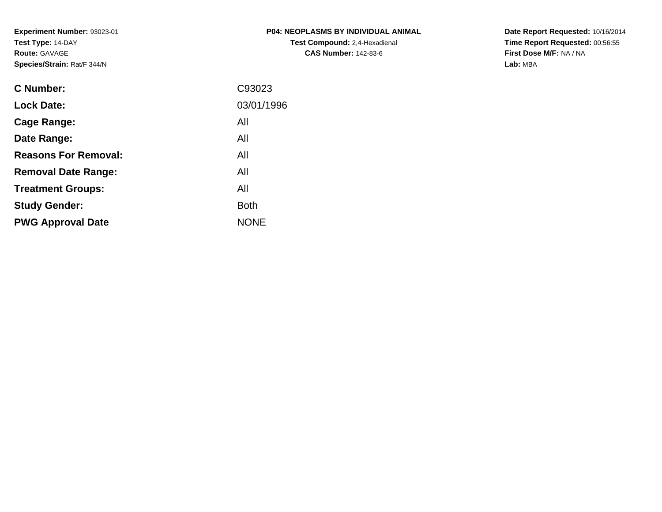| <b>P04: NEOPLASMS BY INDIVIDUAL ANIMAL</b> |
|--------------------------------------------|
| <b>Test Compound: 2.4-Hexadienal</b>       |
| <b>CAS Number: 142-83-6</b>                |

**Date Report Requested:** 10/16/2014 **Time Report Requested:** 00:56:55**First Dose M/F:** NA / NA**Lab:** MBA

| C93023      |
|-------------|
| 03/01/1996  |
| All         |
| All         |
| All         |
| All         |
| All         |
| <b>Both</b> |
| <b>NONE</b> |
|             |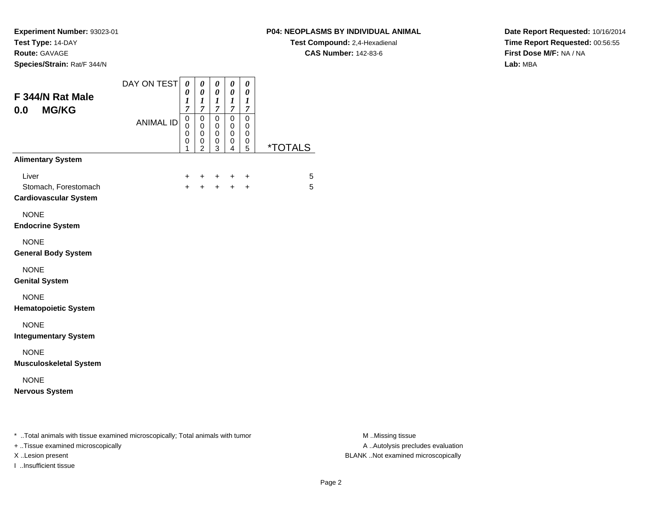**Experiment Number:** 93023-01**Test Type:** 14-DAY

#### **Route:** GAVAGE

I ..Insufficient tissue

**Species/Strain:** Rat/F 344/N

**Test Compound:** 2,4-Hexadienal **CAS Number:** 142-83-6

**Date Report Requested:** 10/16/2014**Time Report Requested:** 00:56:55**First Dose M/F:** NA / NA**Lab:** MBA

| F 344/N Rat Male<br><b>MG/KG</b><br>0.0                                                                                                 | DAY ON TEST<br><b>ANIMAL ID</b> | 0<br>0<br>$\boldsymbol{l}$<br>$\overline{7}$<br>$\pmb{0}$<br>$\mathbf 0$<br>0<br>0<br>1 | 0<br>$\boldsymbol{\theta}$<br>$\boldsymbol{l}$<br>$\overline{7}$<br>$\mathbf 0$<br>0<br>$\mathbf 0$<br>0<br>$\overline{2}$ | 0<br>$\boldsymbol{\theta}$<br>$\boldsymbol{l}$<br>$\boldsymbol{7}$<br>$\overline{0}$<br>0<br>$\mathbf 0$<br>0<br>3 | $\boldsymbol{\theta}$<br>$\boldsymbol{\theta}$<br>$\boldsymbol{l}$<br>$\boldsymbol{7}$<br>$\pmb{0}$<br>$\mathbf 0$<br>$\mathbf 0$<br>0<br>4 | 0<br>0<br>1<br>$\overline{7}$<br>$\pmb{0}$<br>0<br>0<br>0<br>5 | <i><b>*TOTALS</b></i> |                                                                                             |
|-----------------------------------------------------------------------------------------------------------------------------------------|---------------------------------|-----------------------------------------------------------------------------------------|----------------------------------------------------------------------------------------------------------------------------|--------------------------------------------------------------------------------------------------------------------|---------------------------------------------------------------------------------------------------------------------------------------------|----------------------------------------------------------------|-----------------------|---------------------------------------------------------------------------------------------|
| <b>Alimentary System</b>                                                                                                                |                                 |                                                                                         |                                                                                                                            |                                                                                                                    |                                                                                                                                             |                                                                |                       |                                                                                             |
| Liver<br>Stomach, Forestomach<br><b>Cardiovascular System</b>                                                                           |                                 | +<br>$\ddot{+}$                                                                         |                                                                                                                            |                                                                                                                    |                                                                                                                                             | +<br>$\ddot{}$                                                 | 5<br>5                |                                                                                             |
| <b>NONE</b><br><b>Endocrine System</b>                                                                                                  |                                 |                                                                                         |                                                                                                                            |                                                                                                                    |                                                                                                                                             |                                                                |                       |                                                                                             |
| <b>NONE</b><br><b>General Body System</b>                                                                                               |                                 |                                                                                         |                                                                                                                            |                                                                                                                    |                                                                                                                                             |                                                                |                       |                                                                                             |
| <b>NONE</b><br><b>Genital System</b>                                                                                                    |                                 |                                                                                         |                                                                                                                            |                                                                                                                    |                                                                                                                                             |                                                                |                       |                                                                                             |
| <b>NONE</b><br><b>Hematopoietic System</b>                                                                                              |                                 |                                                                                         |                                                                                                                            |                                                                                                                    |                                                                                                                                             |                                                                |                       |                                                                                             |
| <b>NONE</b><br><b>Integumentary System</b>                                                                                              |                                 |                                                                                         |                                                                                                                            |                                                                                                                    |                                                                                                                                             |                                                                |                       |                                                                                             |
| <b>NONE</b><br><b>Musculoskeletal System</b>                                                                                            |                                 |                                                                                         |                                                                                                                            |                                                                                                                    |                                                                                                                                             |                                                                |                       |                                                                                             |
| <b>NONE</b><br><b>Nervous System</b>                                                                                                    |                                 |                                                                                         |                                                                                                                            |                                                                                                                    |                                                                                                                                             |                                                                |                       |                                                                                             |
| * Total animals with tissue examined microscopically; Total animals with tumor<br>+ Tissue examined microscopically<br>X Lesion present |                                 |                                                                                         |                                                                                                                            |                                                                                                                    |                                                                                                                                             |                                                                |                       | M Missing tissue<br>A  Autolysis precludes evaluation<br>BLANK Not examined microscopically |

M ..Missing tissue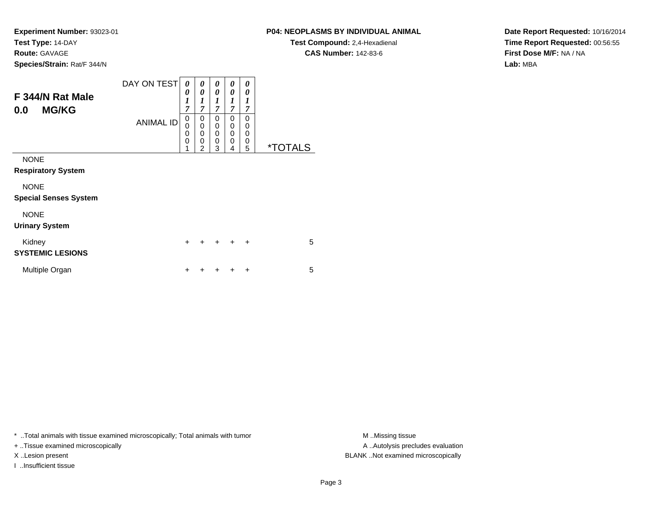**Species/Strain:** Rat/F 344/N

### **P04: NEOPLASMS BY INDIVIDUAL ANIMAL**

**Test Compound:** 2,4-Hexadienal **CAS Number:** 142-83-6

**Date Report Requested:** 10/16/2014**Time Report Requested:** 00:56:55**First Dose M/F:** NA / NA**Lab:** MBA

| F 344/N Rat Male                            | DAY ON TEST      | 0<br>0<br>$\boldsymbol{l}$                                     | 0<br>0<br>1                                          | 0<br>0<br>1                                                           | 0<br>0<br>1                                    | 0<br>0<br>1                             |                       |
|---------------------------------------------|------------------|----------------------------------------------------------------|------------------------------------------------------|-----------------------------------------------------------------------|------------------------------------------------|-----------------------------------------|-----------------------|
| <b>MG/KG</b><br>0.0                         | <b>ANIMAL ID</b> | $\overline{7}$<br>0<br>0<br>$\mathbf 0$<br>$\overline{0}$<br>1 | $\overline{7}$<br>0<br>0<br>0<br>0<br>$\overline{c}$ | $\overline{7}$<br>0<br>$\mathbf 0$<br>$\mathbf 0$<br>$\mathbf 0$<br>3 | $\overline{7}$<br>$\Omega$<br>0<br>0<br>0<br>4 | $\overline{7}$<br>0<br>0<br>0<br>0<br>5 | <i><b>*TOTALS</b></i> |
| <b>NONE</b><br><b>Respiratory System</b>    |                  |                                                                |                                                      |                                                                       |                                                |                                         |                       |
| <b>NONE</b><br><b>Special Senses System</b> |                  |                                                                |                                                      |                                                                       |                                                |                                         |                       |
| <b>NONE</b><br><b>Urinary System</b>        |                  |                                                                |                                                      |                                                                       |                                                |                                         |                       |
| Kidney<br><b>SYSTEMIC LESIONS</b>           |                  | $\ddot{}$                                                      |                                                      | $\div$                                                                | $\ddot{}$                                      | $\ddot{}$                               | 5                     |
| Multiple Organ                              |                  | +                                                              |                                                      |                                                                       |                                                | ÷                                       | 5                     |

\* ..Total animals with tissue examined microscopically; Total animals with tumor **M** . Missing tissue M ..Missing tissue

+ ..Tissue examined microscopically

I ..Insufficient tissue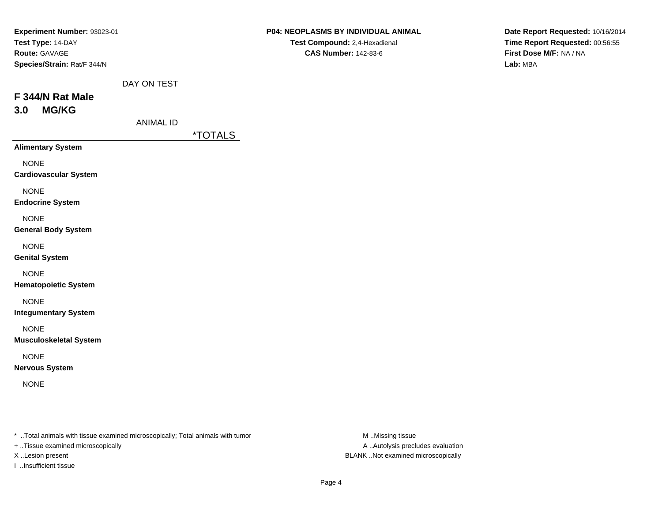| Experiment Number: 93023-01   |                  |                       | P04: NEOPLASMS BY INDIVIDUAL ANIMAL | Date Report Requested: 10/16/2014 |
|-------------------------------|------------------|-----------------------|-------------------------------------|-----------------------------------|
| Test Type: 14-DAY             |                  |                       | Test Compound: 2,4-Hexadienal       | Time Report Requested: 00:56:55   |
| Route: GAVAGE                 |                  |                       | <b>CAS Number: 142-83-6</b>         | First Dose M/F: NA / NA           |
| Species/Strain: Rat/F 344/N   |                  |                       |                                     | Lab: MBA                          |
|                               | DAY ON TEST      |                       |                                     |                                   |
| F 344/N Rat Male              |                  |                       |                                     |                                   |
| <b>MG/KG</b><br>3.0           |                  |                       |                                     |                                   |
|                               | <b>ANIMAL ID</b> |                       |                                     |                                   |
|                               |                  | <i><b>*TOTALS</b></i> |                                     |                                   |
| <b>Alimentary System</b>      |                  |                       |                                     |                                   |
| <b>NONE</b>                   |                  |                       |                                     |                                   |
| <b>Cardiovascular System</b>  |                  |                       |                                     |                                   |
| <b>NONE</b>                   |                  |                       |                                     |                                   |
| <b>Endocrine System</b>       |                  |                       |                                     |                                   |
|                               |                  |                       |                                     |                                   |
| <b>NONE</b>                   |                  |                       |                                     |                                   |
| <b>General Body System</b>    |                  |                       |                                     |                                   |
| <b>NONE</b>                   |                  |                       |                                     |                                   |
| <b>Genital System</b>         |                  |                       |                                     |                                   |
| <b>NONE</b>                   |                  |                       |                                     |                                   |
| <b>Hematopoietic System</b>   |                  |                       |                                     |                                   |
| <b>NONE</b>                   |                  |                       |                                     |                                   |
| <b>Integumentary System</b>   |                  |                       |                                     |                                   |
|                               |                  |                       |                                     |                                   |
| <b>NONE</b>                   |                  |                       |                                     |                                   |
| <b>Musculoskeletal System</b> |                  |                       |                                     |                                   |
| <b>NONE</b>                   |                  |                       |                                     |                                   |
| <b>Nervous System</b>         |                  |                       |                                     |                                   |
| <b>NONE</b>                   |                  |                       |                                     |                                   |
|                               |                  |                       |                                     |                                   |
|                               |                  |                       |                                     |                                   |

+ ..Tissue examined microscopically

I ..Insufficient tissue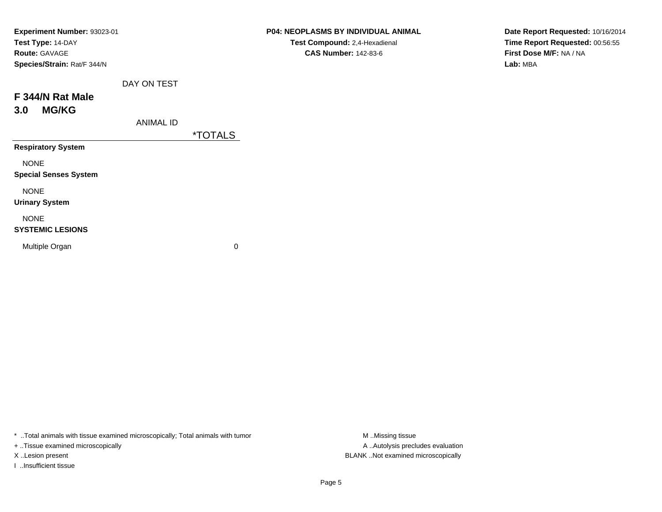| Experiment Number: 93023-01  |                       | P04: NEOPLASMS BY INDIVIDUAL ANIMAL | Date Report Requested: 10/16/2014 |
|------------------------------|-----------------------|-------------------------------------|-----------------------------------|
| Test Type: 14-DAY            |                       | Test Compound: 2,4-Hexadienal       | Time Report Requested: 00:56:55   |
| <b>Route: GAVAGE</b>         |                       | <b>CAS Number: 142-83-6</b>         | First Dose M/F: NA / NA           |
| Species/Strain: Rat/F 344/N  |                       |                                     | Lab: MBA                          |
| DAY ON TEST                  |                       |                                     |                                   |
| F 344/N Rat Male             |                       |                                     |                                   |
| <b>MG/KG</b><br>3.0          |                       |                                     |                                   |
| <b>ANIMAL ID</b>             |                       |                                     |                                   |
|                              | <i><b>*TOTALS</b></i> |                                     |                                   |
| <b>Respiratory System</b>    |                       |                                     |                                   |
| <b>NONE</b>                  |                       |                                     |                                   |
| <b>Special Senses System</b> |                       |                                     |                                   |
| <b>NONE</b>                  |                       |                                     |                                   |
| <b>Urinary System</b>        |                       |                                     |                                   |
| <b>NONE</b>                  |                       |                                     |                                   |
| <b>SYSTEMIC LESIONS</b>      |                       |                                     |                                   |
| Multiple Organ               | $\pmb{0}$             |                                     |                                   |
|                              |                       |                                     |                                   |

+ ..Tissue examined microscopically

I ..Insufficient tissue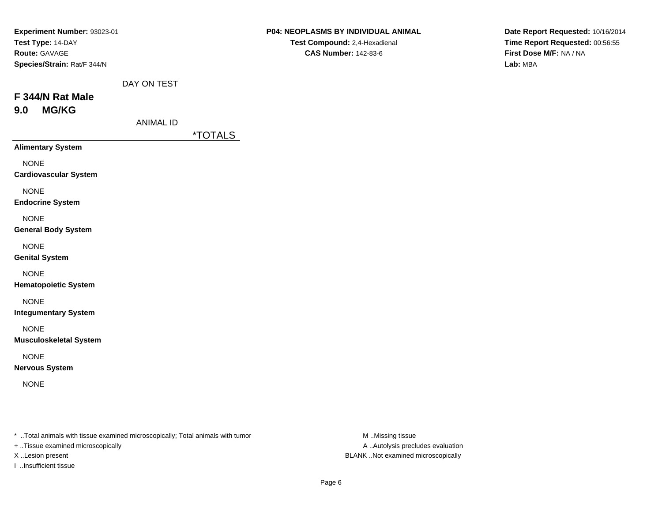| Experiment Number: 93023-01   | P04: NEOPLASMS BY INDIVIDUAL ANIMAL | Date Report Requested: 10/16/2014 |
|-------------------------------|-------------------------------------|-----------------------------------|
| Test Type: 14-DAY             | Test Compound: 2,4-Hexadienal       | Time Report Requested: 00:56:55   |
| Route: GAVAGE                 | <b>CAS Number: 142-83-6</b>         | First Dose M/F: NA / NA           |
| Species/Strain: Rat/F 344/N   |                                     | Lab: MBA                          |
| DAY ON TEST                   |                                     |                                   |
| F 344/N Rat Male              |                                     |                                   |
| <b>MG/KG</b><br>9.0           |                                     |                                   |
| <b>ANIMAL ID</b>              |                                     |                                   |
|                               | <i><b>*TOTALS</b></i>               |                                   |
| <b>Alimentary System</b>      |                                     |                                   |
| <b>NONE</b>                   |                                     |                                   |
| <b>Cardiovascular System</b>  |                                     |                                   |
| <b>NONE</b>                   |                                     |                                   |
| <b>Endocrine System</b>       |                                     |                                   |
| <b>NONE</b>                   |                                     |                                   |
| <b>General Body System</b>    |                                     |                                   |
|                               |                                     |                                   |
| <b>NONE</b>                   |                                     |                                   |
| <b>Genital System</b>         |                                     |                                   |
| <b>NONE</b>                   |                                     |                                   |
| <b>Hematopoietic System</b>   |                                     |                                   |
| <b>NONE</b>                   |                                     |                                   |
| <b>Integumentary System</b>   |                                     |                                   |
| <b>NONE</b>                   |                                     |                                   |
| <b>Musculoskeletal System</b> |                                     |                                   |
| <b>NONE</b>                   |                                     |                                   |
| <b>Nervous System</b>         |                                     |                                   |
| <b>NONE</b>                   |                                     |                                   |
|                               |                                     |                                   |
|                               |                                     |                                   |

- + ..Tissue examined microscopically
- 
- I ..Insufficient tissue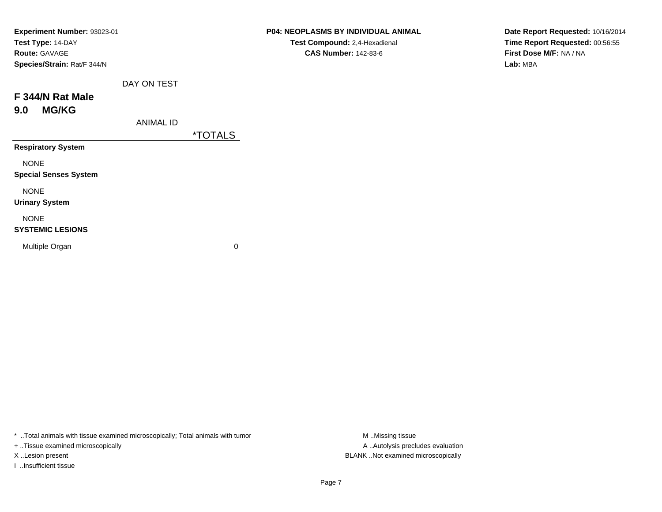| Experiment Number: 93023-01  |                       | P04: NEOPLASMS BY INDIVIDUAL ANIMAL | Date Report Requested: 10/16/2014 |
|------------------------------|-----------------------|-------------------------------------|-----------------------------------|
| Test Type: 14-DAY            |                       | Test Compound: 2,4-Hexadienal       | Time Report Requested: 00:56:55   |
| Route: GAVAGE                |                       | <b>CAS Number: 142-83-6</b>         | First Dose M/F: NA / NA           |
| Species/Strain: Rat/F 344/N  |                       |                                     | Lab: MBA                          |
| DAY ON TEST                  |                       |                                     |                                   |
| F 344/N Rat Male             |                       |                                     |                                   |
| <b>MG/KG</b><br>9.0          |                       |                                     |                                   |
| ANIMAL ID                    |                       |                                     |                                   |
|                              | <i><b>*TOTALS</b></i> |                                     |                                   |
| <b>Respiratory System</b>    |                       |                                     |                                   |
| <b>NONE</b>                  |                       |                                     |                                   |
| <b>Special Senses System</b> |                       |                                     |                                   |
| <b>NONE</b>                  |                       |                                     |                                   |
| <b>Urinary System</b>        |                       |                                     |                                   |
| <b>NONE</b>                  |                       |                                     |                                   |
| <b>SYSTEMIC LESIONS</b>      |                       |                                     |                                   |
| Multiple Organ               | $\mathbf 0$           |                                     |                                   |
|                              |                       |                                     |                                   |

+ ..Tissue examined microscopically

I ..Insufficient tissue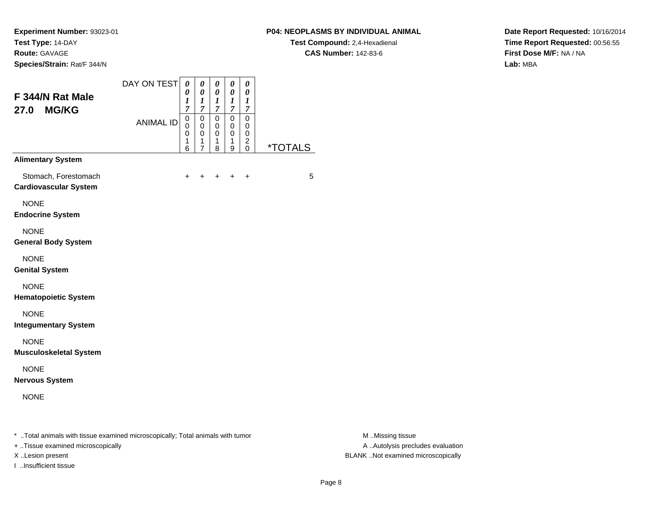#### **P04: NEOPLASMS BY INDIVIDUAL ANIMAL**

**Test Compound:** 2,4-Hexadienal **CAS Number:** 142-83-6

**Date Report Requested:** 10/16/2014**Time Report Requested:** 00:56:55**First Dose M/F:** NA / NA**Lab:** MBA

| F 344/N Rat Male<br>27.0 MG/KG                       | DAY ON TEST      | $\boldsymbol{\theta}$<br>0<br>$\boldsymbol{l}$<br>7 | 0<br>0<br>1<br>$\overline{7}$                | 0<br>0<br>1<br>7                          | 0<br>$\boldsymbol{\theta}$<br>1<br>$\mathcal{I}$ | 0<br>0<br>1<br>$\overline{7}$                |                       |
|------------------------------------------------------|------------------|-----------------------------------------------------|----------------------------------------------|-------------------------------------------|--------------------------------------------------|----------------------------------------------|-----------------------|
|                                                      | <b>ANIMAL ID</b> | $\mathbf 0$<br>$\mathbf 0$<br>0<br>1<br>6           | $\mathbf 0$<br>0<br>0<br>1<br>$\overline{7}$ | $\mathbf 0$<br>0<br>$\mathbf 0$<br>1<br>8 | $\mathbf 0$<br>0<br>0<br>1<br>9                  | $\mathbf 0$<br>0<br>0<br>$\overline{c}$<br>0 | <i><b>*TOTALS</b></i> |
| <b>Alimentary System</b>                             |                  |                                                     |                                              |                                           |                                                  |                                              |                       |
| Stomach, Forestomach<br><b>Cardiovascular System</b> |                  | $\ddot{}$                                           | +                                            | $\ddot{}$                                 | +                                                | $\ddot{}$                                    | 5                     |
| <b>NONE</b><br><b>Endocrine System</b>               |                  |                                                     |                                              |                                           |                                                  |                                              |                       |
| <b>NONE</b><br><b>General Body System</b>            |                  |                                                     |                                              |                                           |                                                  |                                              |                       |
| <b>NONE</b><br><b>Genital System</b>                 |                  |                                                     |                                              |                                           |                                                  |                                              |                       |
| <b>NONE</b><br><b>Hematopoietic System</b>           |                  |                                                     |                                              |                                           |                                                  |                                              |                       |
| <b>NONE</b><br><b>Integumentary System</b>           |                  |                                                     |                                              |                                           |                                                  |                                              |                       |
| <b>NONE</b><br><b>Musculoskeletal System</b>         |                  |                                                     |                                              |                                           |                                                  |                                              |                       |
| <b>NONE</b><br><b>Nervous System</b>                 |                  |                                                     |                                              |                                           |                                                  |                                              |                       |
| <b>NONE</b>                                          |                  |                                                     |                                              |                                           |                                                  |                                              |                       |

+ ..Tissue examined microscopically

I ..Insufficient tissue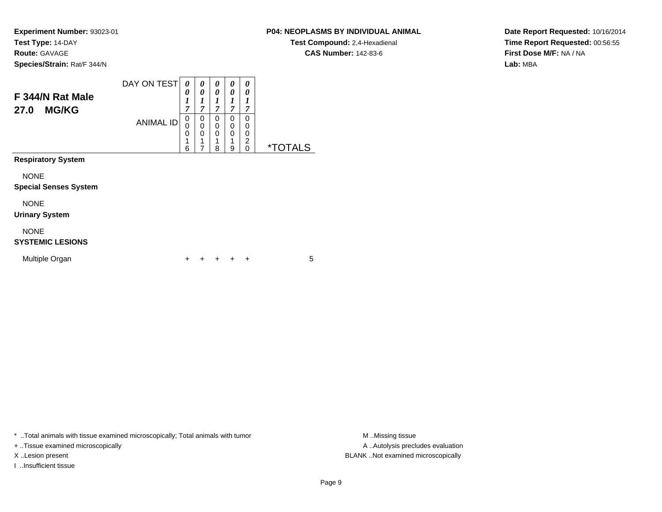#### **P04: NEOPLASMS BY INDIVIDUAL ANIMAL**

**Test Compound:** 2,4-Hexadienal **CAS Number:** 142-83-6

**Date Report Requested:** 10/16/2014**Time Report Requested:** 00:56:55**First Dose M/F:** NA / NA**Lab:** MBA

| F 344/N Rat Male<br><b>MG/KG</b><br>27.0    | DAY ON TEST<br><b>ANIMAL ID</b> | 0<br>0<br>1<br>$\overline{7}$<br>0<br>0<br>0<br>1<br>6 | 0<br>0<br>1<br>$\overline{7}$<br>0<br>$\mathbf 0$<br>0<br>1<br>7 | 0<br>0<br>1<br>$\overline{7}$<br>0<br>0<br>0<br>1<br>8 | 0<br>0<br>1<br>7<br>0<br>$\mathbf 0$<br>0<br>1<br>9 | 0<br>0<br>1<br>7<br>0<br>0<br>0<br>2<br>0 | <i><b>*TOTALS</b></i> |
|---------------------------------------------|---------------------------------|--------------------------------------------------------|------------------------------------------------------------------|--------------------------------------------------------|-----------------------------------------------------|-------------------------------------------|-----------------------|
| <b>Respiratory System</b>                   |                                 |                                                        |                                                                  |                                                        |                                                     |                                           |                       |
| <b>NONE</b><br><b>Special Senses System</b> |                                 |                                                        |                                                                  |                                                        |                                                     |                                           |                       |
| <b>NONE</b><br><b>Urinary System</b>        |                                 |                                                        |                                                                  |                                                        |                                                     |                                           |                       |
| <b>NONE</b><br><b>SYSTEMIC LESIONS</b>      |                                 |                                                        |                                                                  |                                                        |                                                     |                                           |                       |
| Multiple Organ                              |                                 |                                                        |                                                                  |                                                        |                                                     | ÷                                         | 5                     |

\* ..Total animals with tissue examined microscopically; Total animals with tumor **M** . Missing tissue M ..Missing tissue

+ ..Tissue examined microscopically

I ..Insufficient tissue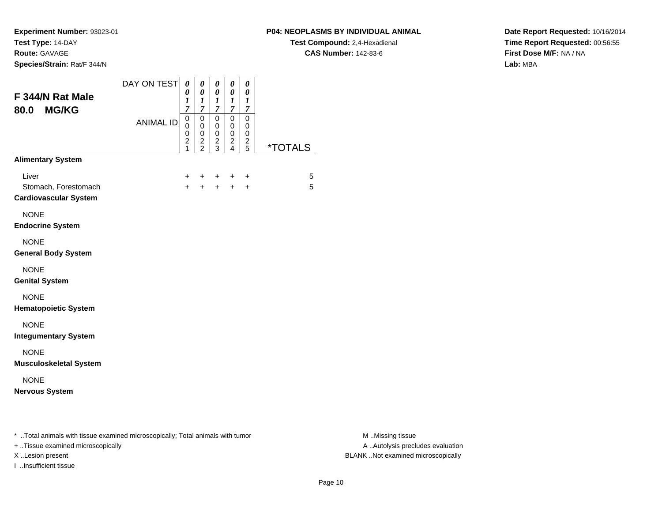**Species/Strain:** Rat/F 344/N

I ..Insufficient tissue

#### **P04: NEOPLASMS BY INDIVIDUAL ANIMAL**

**Test Compound:** 2,4-Hexadienal **CAS Number:** 142-83-6

**Date Report Requested:** 10/16/2014**Time Report Requested:** 00:56:55**First Dose M/F:** NA / NA**Lab:** MBA

| F 344/N Rat Male<br><b>MG/KG</b><br>80.0                                                                            | DAY ON TEST      | 0<br>0<br>$\boldsymbol{l}$<br>$\overline{7}$                   | 0<br>$\boldsymbol{\theta}$<br>$\boldsymbol{l}$<br>$\boldsymbol{7}$ | 0<br>$\pmb{\theta}$<br>$\boldsymbol{l}$<br>$\overline{7}$ | $\pmb{\theta}$<br>$\pmb{\theta}$<br>$\boldsymbol{l}$<br>$\boldsymbol{7}$ | 0<br>$\pmb{\theta}$<br>$\boldsymbol{l}$<br>7 |                       |                                                      |
|---------------------------------------------------------------------------------------------------------------------|------------------|----------------------------------------------------------------|--------------------------------------------------------------------|-----------------------------------------------------------|--------------------------------------------------------------------------|----------------------------------------------|-----------------------|------------------------------------------------------|
|                                                                                                                     | <b>ANIMAL ID</b> | $\pmb{0}$<br>0<br>0<br>$\overline{\mathbf{c}}$<br>$\mathbf{1}$ | $\pmb{0}$<br>$\mathbf 0$<br>0<br>$\frac{2}{2}$                     | $\mathbf 0$<br>0<br>0<br>$\frac{2}{3}$                    | $\mathbf 0$<br>$\mathbf 0$<br>$\pmb{0}$<br>$\frac{2}{4}$                 | 0<br>0<br>0<br>$\overline{\mathbf{c}}$<br>5  | <i><b>*TOTALS</b></i> |                                                      |
| <b>Alimentary System</b>                                                                                            |                  |                                                                |                                                                    |                                                           |                                                                          |                                              |                       |                                                      |
| Liver<br>Stomach, Forestomach<br><b>Cardiovascular System</b>                                                       |                  | +<br>$\ddot{}$                                                 |                                                                    |                                                           | $+$                                                                      | +<br>$\ddot{}$                               | 5<br>5                |                                                      |
| <b>NONE</b><br><b>Endocrine System</b>                                                                              |                  |                                                                |                                                                    |                                                           |                                                                          |                                              |                       |                                                      |
| <b>NONE</b><br><b>General Body System</b>                                                                           |                  |                                                                |                                                                    |                                                           |                                                                          |                                              |                       |                                                      |
| <b>NONE</b><br><b>Genital System</b>                                                                                |                  |                                                                |                                                                    |                                                           |                                                                          |                                              |                       |                                                      |
| <b>NONE</b><br><b>Hematopoietic System</b>                                                                          |                  |                                                                |                                                                    |                                                           |                                                                          |                                              |                       |                                                      |
| <b>NONE</b><br><b>Integumentary System</b>                                                                          |                  |                                                                |                                                                    |                                                           |                                                                          |                                              |                       |                                                      |
| <b>NONE</b><br><b>Musculoskeletal System</b>                                                                        |                  |                                                                |                                                                    |                                                           |                                                                          |                                              |                       |                                                      |
| <b>NONE</b><br><b>Nervous System</b>                                                                                |                  |                                                                |                                                                    |                                                           |                                                                          |                                              |                       |                                                      |
| * Total animals with tissue examined microscopically; Total animals with tumor<br>+ Tissue examined microscopically |                  |                                                                |                                                                    |                                                           |                                                                          |                                              |                       | M Missing tissue<br>A Autolysis precludes evaluation |

M ..Missing tissue X ..Lesion present BLANK ..Not examined microscopically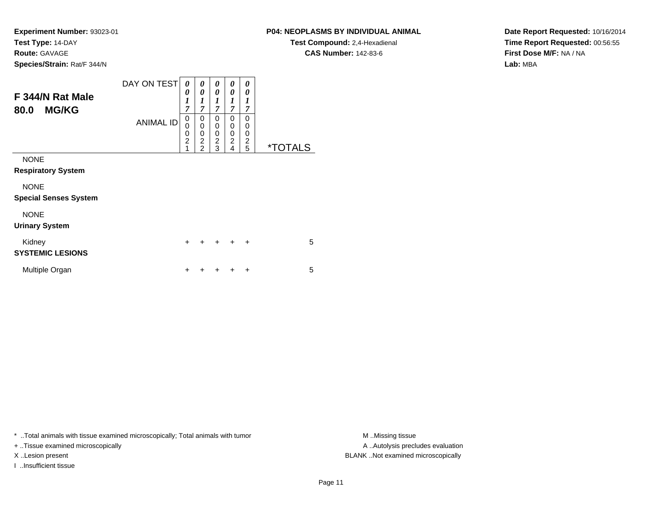#### **P04: NEOPLASMS BY INDIVIDUAL ANIMAL**

**Test Compound:** 2,4-Hexadienal **CAS Number:** 142-83-6

**Date Report Requested:** 10/16/2014**Time Report Requested:** 00:56:55**First Dose M/F:** NA / NA**Lab:** MBA

| F 344/N Rat Male<br><b>MG/KG</b><br>80.0    | DAY ON TEST      | 0<br>0<br>$\boldsymbol{l}$<br>7              | 0<br>0<br>1<br>7                                         | 0<br>0<br>1<br>$\overline{7}$                                 | 0<br>0<br>1<br>$\overline{7}$      | 0<br>0<br>1<br>$\overline{7}$ |                       |  |
|---------------------------------------------|------------------|----------------------------------------------|----------------------------------------------------------|---------------------------------------------------------------|------------------------------------|-------------------------------|-----------------------|--|
|                                             | <b>ANIMAL ID</b> | 0<br>$\mathbf 0$<br>0<br>$\overline{c}$<br>1 | 0<br>0<br>$\mathbf 0$<br>$\overline{2}$<br>$\mathcal{P}$ | $\Omega$<br>$\mathbf 0$<br>$\mathbf 0$<br>$\overline{2}$<br>3 | 0<br>0<br>0<br>$\overline{c}$<br>4 | 0<br>0<br>0<br>$\frac{2}{5}$  | <i><b>*TOTALS</b></i> |  |
| <b>NONE</b><br><b>Respiratory System</b>    |                  |                                              |                                                          |                                                               |                                    |                               |                       |  |
| <b>NONE</b><br><b>Special Senses System</b> |                  |                                              |                                                          |                                                               |                                    |                               |                       |  |
| <b>NONE</b><br><b>Urinary System</b>        |                  |                                              |                                                          |                                                               |                                    |                               |                       |  |
| Kidney<br><b>SYSTEMIC LESIONS</b>           |                  | $\ddot{}$                                    | $\div$                                                   | $\ddot{}$                                                     | $\ddot{}$                          | $\ddot{}$                     | 5                     |  |
| Multiple Organ                              |                  | ÷                                            |                                                          |                                                               |                                    | ÷                             | 5                     |  |

\* ..Total animals with tissue examined microscopically; Total animals with tumor **M** . Missing tissue M ..Missing tissue

+ ..Tissue examined microscopically

I ..Insufficient tissue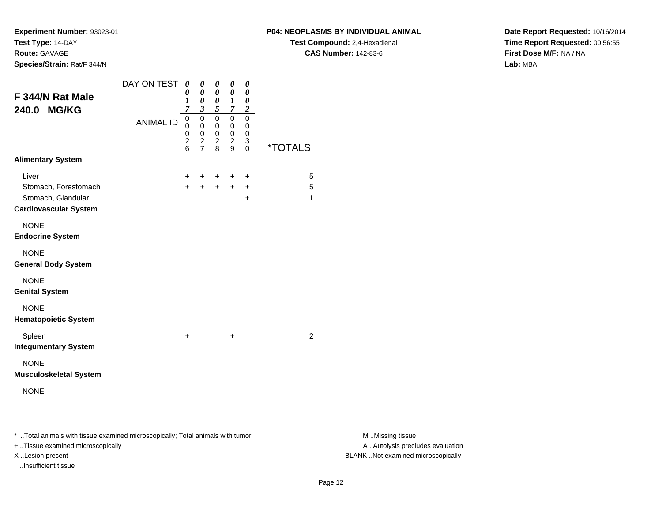#### **P04: NEOPLASMS BY INDIVIDUAL ANIMAL**

**Test Compound:** 2,4-Hexadienal **CAS Number:** 142-83-6

**Date Report Requested:** 10/16/2014**Time Report Requested:** 00:56:55**First Dose M/F:** NA / NA**Lab:** MBA

| F 344/N Rat Male<br>240.0 MG/KG                                                     | DAY ON TEST      | 0<br>0<br>1<br>$\overline{7}$               | $\pmb{\theta}$<br>0<br>$\pmb{\theta}$<br>$\mathfrak{z}$  | 0<br>0<br>0<br>5                               | 0<br>0<br>1<br>$\overline{7}$               | 0<br>$\boldsymbol{\theta}$<br>$\boldsymbol{\theta}$<br>$\boldsymbol{2}$ |                       |
|-------------------------------------------------------------------------------------|------------------|---------------------------------------------|----------------------------------------------------------|------------------------------------------------|---------------------------------------------|-------------------------------------------------------------------------|-----------------------|
|                                                                                     | <b>ANIMAL ID</b> | 0<br>0<br>0<br>$\overline{\mathbf{c}}$<br>6 | 0<br>0<br>0<br>$\overline{\mathbf{c}}$<br>$\overline{7}$ | $\mathbf 0$<br>0<br>0<br>$\boldsymbol{2}$<br>8 | 0<br>0<br>0<br>$\overline{\mathbf{c}}$<br>9 | 0<br>0<br>$\boldsymbol{0}$<br>3<br>0                                    | <i><b>*TOTALS</b></i> |
| <b>Alimentary System</b>                                                            |                  |                                             |                                                          |                                                |                                             |                                                                         |                       |
| Liver<br>Stomach, Forestomach<br>Stomach, Glandular<br><b>Cardiovascular System</b> |                  | $\ddot{}$<br>$+$                            | $\ddot{+}$                                               | $\ddot{}$<br>$\ddot{}$                         | +<br>$+$                                    | +<br>$\ddot{}$<br>$\ddot{}$                                             | 5<br>5<br>1           |
| <b>NONE</b><br><b>Endocrine System</b>                                              |                  |                                             |                                                          |                                                |                                             |                                                                         |                       |
| <b>NONE</b><br><b>General Body System</b>                                           |                  |                                             |                                                          |                                                |                                             |                                                                         |                       |
| <b>NONE</b><br><b>Genital System</b>                                                |                  |                                             |                                                          |                                                |                                             |                                                                         |                       |
| <b>NONE</b><br><b>Hematopoietic System</b>                                          |                  |                                             |                                                          |                                                |                                             |                                                                         |                       |
| Spleen<br><b>Integumentary System</b>                                               |                  | $\ddot{}$                                   |                                                          |                                                | +                                           |                                                                         | $\overline{2}$        |
| <b>NONE</b><br><b>Musculoskeletal System</b>                                        |                  |                                             |                                                          |                                                |                                             |                                                                         |                       |
| <b>NONE</b>                                                                         |                  |                                             |                                                          |                                                |                                             |                                                                         |                       |
|                                                                                     |                  |                                             |                                                          |                                                |                                             |                                                                         |                       |

..Total animals with tissue examined microscopically; Total animals with tumor M ..Missing tissue M ..Missing tissue

+ ..Tissue examined microscopically

I ..Insufficient tissue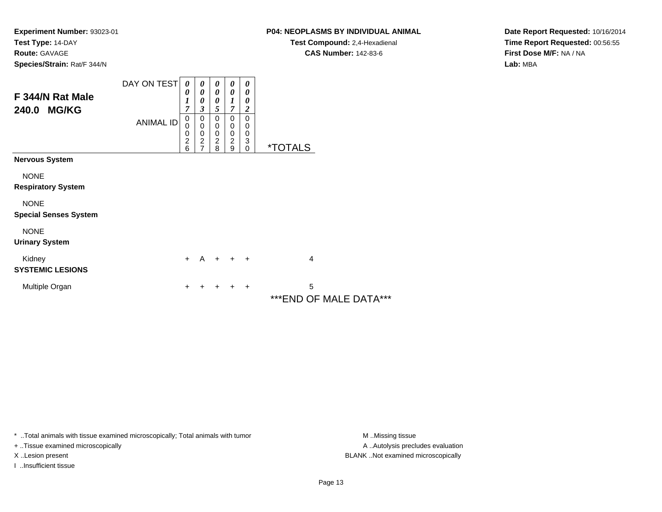#### **P04: NEOPLASMS BY INDIVIDUAL ANIMAL**

**Test Compound:** 2,4-Hexadienal **CAS Number:** 142-83-6

**Date Report Requested:** 10/16/2014**Time Report Requested:** 00:56:55**First Dose M/F:** NA / NA**Lab:** MBA

| F 344/N Rat Male<br>240.0 MG/KG             | DAY ON TEST<br><b>ANIMAL ID</b> | $\boldsymbol{\theta}$<br>0<br>1<br>7<br>0<br>0<br>0<br>$\boldsymbol{2}$<br>6 | 0<br>$\boldsymbol{\theta}$<br>0<br>3<br>0<br>$\pmb{0}$<br>$\mathbf 0$<br>$\frac{2}{7}$ | 0<br>$\boldsymbol{\theta}$<br>0<br>5<br>$\pmb{0}$<br>$\pmb{0}$<br>$\mathbf 0$<br>$\frac{2}{8}$ | 0<br>$\boldsymbol{\theta}$<br>1<br>7<br>$\pmb{0}$<br>$\pmb{0}$<br>$\pmb{0}$<br>$\overline{2}$<br>9 | 0<br>$\boldsymbol{\theta}$<br>0<br>$\overline{\mathbf{c}}$<br>$\mathbf 0$<br>$\mathbf 0$<br>$\mathbf 0$<br>3<br>$\mathbf 0$ | <i><b>*TOTALS</b></i>        |
|---------------------------------------------|---------------------------------|------------------------------------------------------------------------------|----------------------------------------------------------------------------------------|------------------------------------------------------------------------------------------------|----------------------------------------------------------------------------------------------------|-----------------------------------------------------------------------------------------------------------------------------|------------------------------|
| <b>Nervous System</b>                       |                                 |                                                                              |                                                                                        |                                                                                                |                                                                                                    |                                                                                                                             |                              |
| <b>NONE</b><br><b>Respiratory System</b>    |                                 |                                                                              |                                                                                        |                                                                                                |                                                                                                    |                                                                                                                             |                              |
| <b>NONE</b><br><b>Special Senses System</b> |                                 |                                                                              |                                                                                        |                                                                                                |                                                                                                    |                                                                                                                             |                              |
| <b>NONE</b><br><b>Urinary System</b>        |                                 |                                                                              |                                                                                        |                                                                                                |                                                                                                    |                                                                                                                             |                              |
| Kidney<br><b>SYSTEMIC LESIONS</b>           |                                 | $+$                                                                          |                                                                                        | $A + + +$                                                                                      |                                                                                                    |                                                                                                                             | $\overline{4}$               |
| Multiple Organ                              |                                 | $\ddot{}$                                                                    | ٠                                                                                      | $\ddot{}$                                                                                      | $\pm$                                                                                              | $\ddot{}$                                                                                                                   | 5<br>*** END OF MALE DATA*** |

\* ..Total animals with tissue examined microscopically; Total animals with tumor **M** . Missing tissue M ..Missing tissue

+ ..Tissue examined microscopically

I ..Insufficient tissue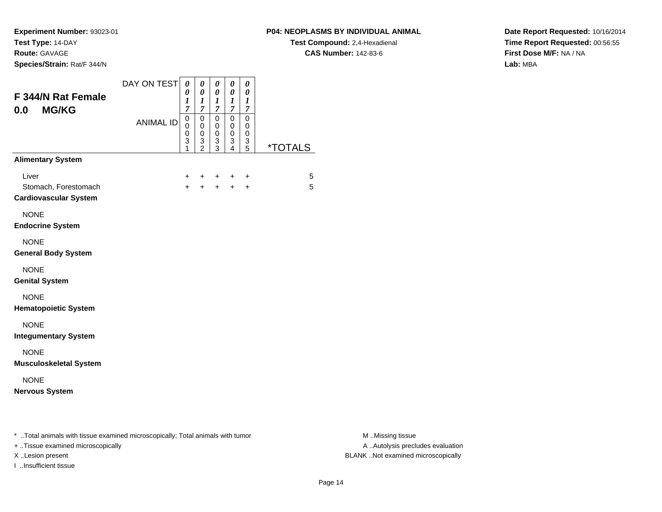**Experiment Number:** 93023-01**Test Type:** 14-DAY

**Route:** GAVAGE

I ..Insufficient tissue

**Species/Strain:** Rat/F 344/N

#### **P04: NEOPLASMS BY INDIVIDUAL ANIMAL**

**Test Compound:** 2,4-Hexadienal **CAS Number:** 142-83-6

**Date Report Requested:** 10/16/2014**Time Report Requested:** 00:56:55**First Dose M/F:** NA / NA**Lab:** MBA

| F 344/N Rat Female<br><b>MG/KG</b><br>0.0                                                                                               | DAY ON TEST<br><b>ANIMAL ID</b> | 0<br>0<br>1<br>$\boldsymbol{7}$<br>$\pmb{0}$<br>0<br>0<br>3<br>1 | 0<br>$\pmb{\theta}$<br>$\boldsymbol{l}$<br>$\boldsymbol{7}$<br>0<br>0<br>$\mathbf 0$<br>3<br>$\overline{2}$ | 0<br>$\pmb{\theta}$<br>$\boldsymbol{l}$<br>$\boldsymbol{7}$<br>$\mathbf 0$<br>$\pmb{0}$<br>$\mathbf 0$<br>$\frac{3}{3}$ | $\pmb{\theta}$<br>$\pmb{\theta}$<br>$\boldsymbol{l}$<br>$\boldsymbol{7}$<br>$\pmb{0}$<br>$\pmb{0}$<br>$\mathbf 0$<br>$\frac{3}{4}$ | $\pmb{\theta}$<br>$\pmb{\theta}$<br>$\boldsymbol{l}$<br>$\boldsymbol{7}$<br>$\pmb{0}$<br>$\pmb{0}$<br>0<br>$\frac{3}{5}$ | <i><b>*TOTALS</b></i> |                                                                                             |
|-----------------------------------------------------------------------------------------------------------------------------------------|---------------------------------|------------------------------------------------------------------|-------------------------------------------------------------------------------------------------------------|-------------------------------------------------------------------------------------------------------------------------|------------------------------------------------------------------------------------------------------------------------------------|--------------------------------------------------------------------------------------------------------------------------|-----------------------|---------------------------------------------------------------------------------------------|
| <b>Alimentary System</b>                                                                                                                |                                 |                                                                  |                                                                                                             |                                                                                                                         |                                                                                                                                    |                                                                                                                          |                       |                                                                                             |
| Liver<br>Stomach, Forestomach<br><b>Cardiovascular System</b>                                                                           |                                 | +<br>$+$                                                         |                                                                                                             |                                                                                                                         | $+$                                                                                                                                | $\ddot{}$<br>$\ddot{}$                                                                                                   | 5<br>5                |                                                                                             |
| <b>NONE</b><br><b>Endocrine System</b>                                                                                                  |                                 |                                                                  |                                                                                                             |                                                                                                                         |                                                                                                                                    |                                                                                                                          |                       |                                                                                             |
| <b>NONE</b><br><b>General Body System</b>                                                                                               |                                 |                                                                  |                                                                                                             |                                                                                                                         |                                                                                                                                    |                                                                                                                          |                       |                                                                                             |
| <b>NONE</b><br><b>Genital System</b>                                                                                                    |                                 |                                                                  |                                                                                                             |                                                                                                                         |                                                                                                                                    |                                                                                                                          |                       |                                                                                             |
| <b>NONE</b><br><b>Hematopoietic System</b>                                                                                              |                                 |                                                                  |                                                                                                             |                                                                                                                         |                                                                                                                                    |                                                                                                                          |                       |                                                                                             |
| <b>NONE</b><br><b>Integumentary System</b>                                                                                              |                                 |                                                                  |                                                                                                             |                                                                                                                         |                                                                                                                                    |                                                                                                                          |                       |                                                                                             |
| <b>NONE</b><br><b>Musculoskeletal System</b>                                                                                            |                                 |                                                                  |                                                                                                             |                                                                                                                         |                                                                                                                                    |                                                                                                                          |                       |                                                                                             |
| <b>NONE</b><br><b>Nervous System</b>                                                                                                    |                                 |                                                                  |                                                                                                             |                                                                                                                         |                                                                                                                                    |                                                                                                                          |                       |                                                                                             |
| * Total animals with tissue examined microscopically; Total animals with tumor<br>+ Tissue examined microscopically<br>X Lesion present |                                 |                                                                  |                                                                                                             |                                                                                                                         |                                                                                                                                    |                                                                                                                          |                       | M Missing tissue<br>A  Autolysis precludes evaluation<br>BLANK Not examined microscopically |

M ..Missing tissue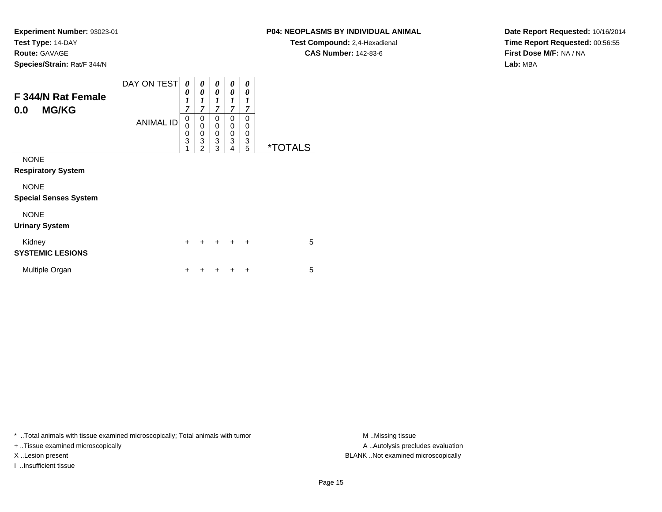# **Species/Strain:** Rat/F 344/N

**P04: NEOPLASMS BY INDIVIDUAL ANIMAL**

**Test Compound:** 2,4-Hexadienal **CAS Number:** 142-83-6

**Date Report Requested:** 10/16/2014**Time Report Requested:** 00:56:55**First Dose M/F:** NA / NA**Lab:** MBA

| F 344/N Rat Female<br><b>MG/KG</b><br>0.0   | DAY ON TEST<br><b>ANIMAL ID</b> | 0<br>0<br>$\boldsymbol{l}$<br>7<br>0<br>$\mathbf 0$<br>$\frac{0}{3}$ | 0<br>0<br>1<br>$\overline{7}$<br>0<br>$\mathbf 0$<br>$\pmb{0}$ | 0<br>0<br>$\boldsymbol{l}$<br>$\overline{7}$<br>0<br>0<br>$\boldsymbol{0}$ | 0<br>0<br>$\boldsymbol{l}$<br>$\overline{7}$<br>0<br>0<br>0 | 0<br>0<br>1<br>7<br>0<br>0<br>0 |                       |
|---------------------------------------------|---------------------------------|----------------------------------------------------------------------|----------------------------------------------------------------|----------------------------------------------------------------------------|-------------------------------------------------------------|---------------------------------|-----------------------|
|                                             |                                 | 1                                                                    | $\overline{3}$<br>$\overline{2}$                               | $\overline{3}$<br>3                                                        | 3<br>4                                                      | 3<br>5                          | <i><b>*TOTALS</b></i> |
| <b>NONE</b><br><b>Respiratory System</b>    |                                 |                                                                      |                                                                |                                                                            |                                                             |                                 |                       |
| <b>NONE</b><br><b>Special Senses System</b> |                                 |                                                                      |                                                                |                                                                            |                                                             |                                 |                       |
| <b>NONE</b><br><b>Urinary System</b>        |                                 |                                                                      |                                                                |                                                                            |                                                             |                                 |                       |
| Kidney<br><b>SYSTEMIC LESIONS</b>           |                                 | $\ddot{}$                                                            | +                                                              | ÷                                                                          | $\ddot{}$                                                   | $\ddot{}$                       | 5                     |
| Multiple Organ                              |                                 | ٠                                                                    |                                                                |                                                                            |                                                             | +                               | 5                     |

\* ..Total animals with tissue examined microscopically; Total animals with tumor **M** . Missing tissue M ..Missing tissue

+ ..Tissue examined microscopically

I ..Insufficient tissue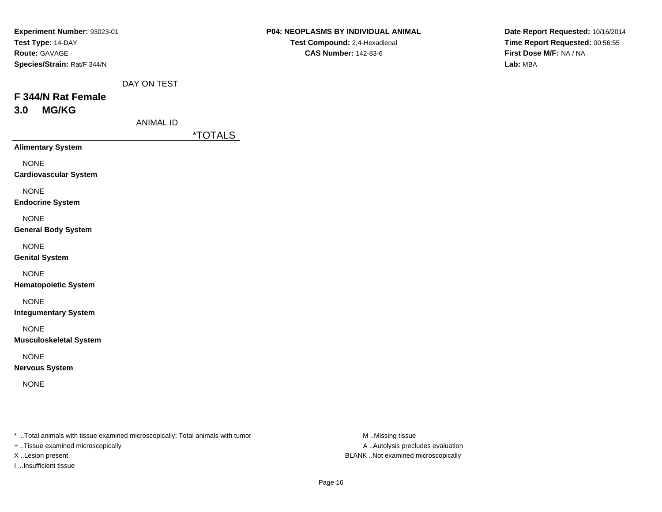| Experiment Number: 93023-01   | P04: NEOPLASMS BY INDIVIDUAL ANIMAL |
|-------------------------------|-------------------------------------|
| Test Type: 14-DAY             | Test Compound: 2,4-Hexadienal       |
| Route: GAVAGE                 | <b>CAS Number: 142-83-6</b>         |
| Species/Strain: Rat/F 344/N   |                                     |
| DAY ON TEST                   |                                     |
| F 344/N Rat Female            |                                     |
| <b>MG/KG</b><br>3.0           |                                     |
| <b>ANIMAL ID</b>              |                                     |
|                               | <i><b>*TOTALS</b></i>               |
| <b>Alimentary System</b>      |                                     |
| <b>NONE</b>                   |                                     |
| <b>Cardiovascular System</b>  |                                     |
| <b>NONE</b>                   |                                     |
| <b>Endocrine System</b>       |                                     |
| <b>NONE</b>                   |                                     |
| <b>General Body System</b>    |                                     |
| <b>NONE</b>                   |                                     |
| <b>Genital System</b>         |                                     |
| <b>NONE</b>                   |                                     |
| <b>Hematopoietic System</b>   |                                     |
| <b>NONE</b>                   |                                     |
| <b>Integumentary System</b>   |                                     |
| <b>NONE</b>                   |                                     |
| <b>Musculoskeletal System</b> |                                     |
| <b>NONE</b>                   |                                     |
| <b>Nervous System</b>         |                                     |
| <b>NONE</b>                   |                                     |
|                               |                                     |
|                               |                                     |

+ ..Tissue examined microscopically

I ..Insufficient tissue

A ..Autolysis precludes evaluation X ..Lesion present BLANK ..Not examined microscopically

**Date Report Requested:** 10/16/2014**Time Report Requested:** 00:56:55**First Dose M/F:** NA / NA**Lab:** MBA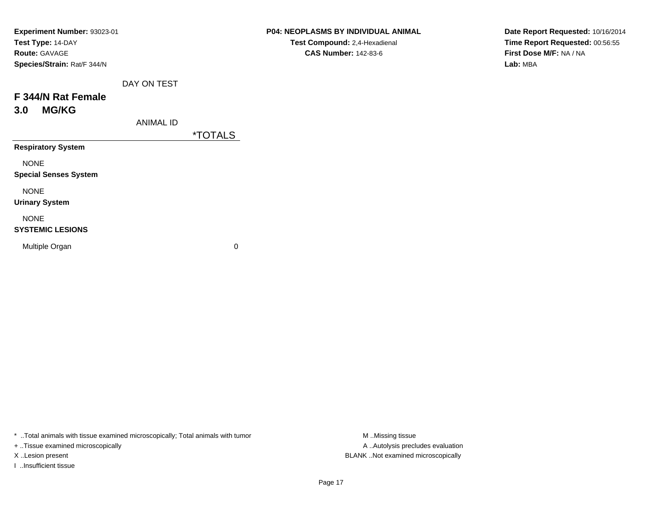| Experiment Number: 93023-01  |             |                       | <b>P04: NEOPLASMS BY INDIVIDUAL ANIMAL</b> | Date Report Requested: 10/16/2014 |
|------------------------------|-------------|-----------------------|--------------------------------------------|-----------------------------------|
| Test Type: 14-DAY            |             |                       | Test Compound: 2,4-Hexadienal              | Time Report Requested: 00:56:55   |
| <b>Route: GAVAGE</b>         |             |                       | <b>CAS Number: 142-83-6</b>                | First Dose M/F: NA / NA           |
| Species/Strain: Rat/F 344/N  |             |                       |                                            | Lab: MBA                          |
|                              | DAY ON TEST |                       |                                            |                                   |
| F 344/N Rat Female           |             |                       |                                            |                                   |
| <b>MG/KG</b><br>3.0          |             |                       |                                            |                                   |
|                              | ANIMAL ID   |                       |                                            |                                   |
|                              |             | <i><b>*TOTALS</b></i> |                                            |                                   |
| <b>Respiratory System</b>    |             |                       |                                            |                                   |
| <b>NONE</b>                  |             |                       |                                            |                                   |
| <b>Special Senses System</b> |             |                       |                                            |                                   |
| <b>NONE</b>                  |             |                       |                                            |                                   |
| <b>Urinary System</b>        |             |                       |                                            |                                   |
| <b>NONE</b>                  |             |                       |                                            |                                   |
| <b>SYSTEMIC LESIONS</b>      |             |                       |                                            |                                   |
| Multiple Organ               |             | 0                     |                                            |                                   |
|                              |             |                       |                                            |                                   |

+ ..Tissue examined microscopically

I ..Insufficient tissue

A ..Autolysis precludes evaluation X ..Lesion present BLANK ..Not examined microscopically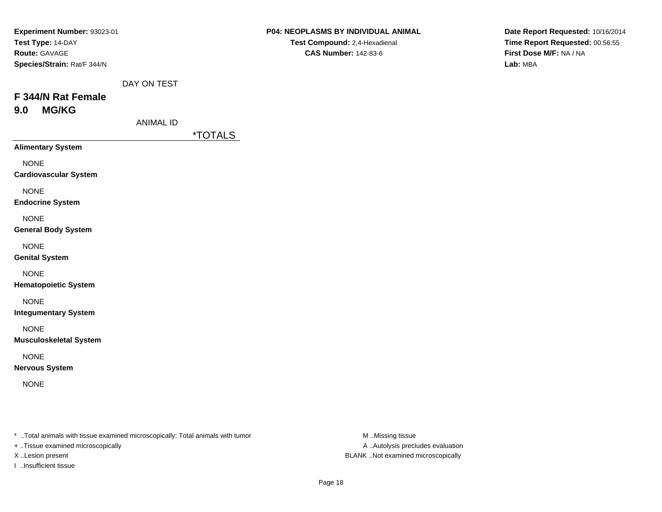| Experiment Number: 93023-01   | P04: NEOPLASMS BY INDIVIDUAL ANIMAL |
|-------------------------------|-------------------------------------|
| Test Type: 14-DAY             | Test Compound: 2,4-Hexadienal       |
| Route: GAVAGE                 | <b>CAS Number: 142-83-6</b>         |
| Species/Strain: Rat/F 344/N   |                                     |
| DAY ON TEST                   |                                     |
| F 344/N Rat Female            |                                     |
| <b>MG/KG</b><br>9.0           |                                     |
| <b>ANIMAL ID</b>              |                                     |
|                               | <i><b>*TOTALS</b></i>               |
| <b>Alimentary System</b>      |                                     |
| <b>NONE</b>                   |                                     |
| <b>Cardiovascular System</b>  |                                     |
| <b>NONE</b>                   |                                     |
| <b>Endocrine System</b>       |                                     |
| <b>NONE</b>                   |                                     |
| <b>General Body System</b>    |                                     |
| <b>NONE</b>                   |                                     |
| <b>Genital System</b>         |                                     |
| <b>NONE</b>                   |                                     |
| <b>Hematopoietic System</b>   |                                     |
| <b>NONE</b>                   |                                     |
| <b>Integumentary System</b>   |                                     |
| <b>NONE</b>                   |                                     |
| <b>Musculoskeletal System</b> |                                     |
| <b>NONE</b>                   |                                     |
| <b>Nervous System</b>         |                                     |
| <b>NONE</b>                   |                                     |

**Date Report Requested:** 10/16/2014**Time Report Requested:** 00:56:55**First Dose M/F:** NA / NA**Lab:** MBA

| * Total animals with tissue examined microscopically; Total animals with tumor | M Missing tissue |
|--------------------------------------------------------------------------------|------------------|
|--------------------------------------------------------------------------------|------------------|

+ ..Tissue examined microscopically

I ..Insufficient tissue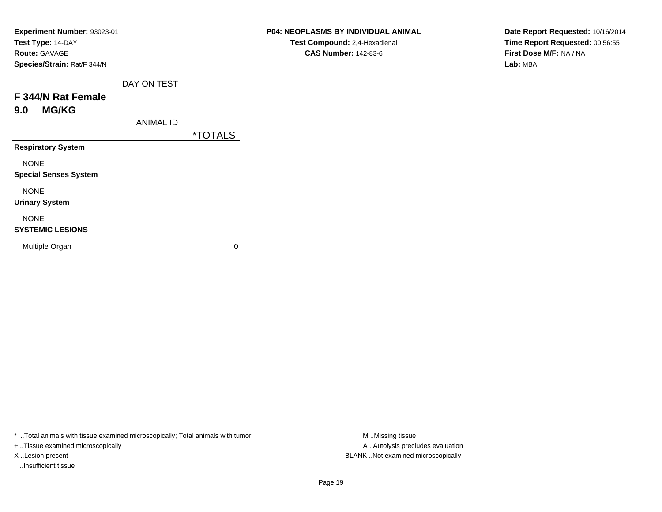| Experiment Number: 93023-01  |                  |                       | P04: NEOPLASMS BY INDIVIDUAL ANIMAL | Date Report Requested: 10/16/2014 |
|------------------------------|------------------|-----------------------|-------------------------------------|-----------------------------------|
| Test Type: 14-DAY            |                  |                       | Test Compound: 2,4-Hexadienal       | Time Report Requested: 00:56:55   |
| <b>Route: GAVAGE</b>         |                  |                       | <b>CAS Number: 142-83-6</b>         | First Dose M/F: NA / NA           |
| Species/Strain: Rat/F 344/N  |                  |                       |                                     | Lab: MBA                          |
|                              | DAY ON TEST      |                       |                                     |                                   |
| F 344/N Rat Female           |                  |                       |                                     |                                   |
| <b>MG/KG</b><br>9.0          |                  |                       |                                     |                                   |
|                              | <b>ANIMAL ID</b> |                       |                                     |                                   |
|                              |                  | <i><b>*TOTALS</b></i> |                                     |                                   |
| <b>Respiratory System</b>    |                  |                       |                                     |                                   |
| <b>NONE</b>                  |                  |                       |                                     |                                   |
| <b>Special Senses System</b> |                  |                       |                                     |                                   |
| <b>NONE</b>                  |                  |                       |                                     |                                   |
| <b>Urinary System</b>        |                  |                       |                                     |                                   |
| <b>NONE</b>                  |                  |                       |                                     |                                   |
| <b>SYSTEMIC LESIONS</b>      |                  |                       |                                     |                                   |
| Multiple Organ               |                  | 0                     |                                     |                                   |
|                              |                  |                       |                                     |                                   |

+ ..Tissue examined microscopically

I ..Insufficient tissue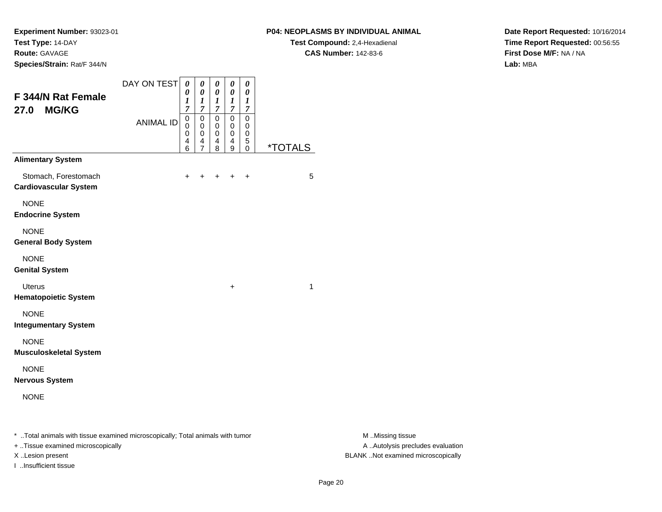**Species/Strain:** Rat/F 344/N

#### **P04: NEOPLASMS BY INDIVIDUAL ANIMAL**

**Test Compound:** 2,4-Hexadienal **CAS Number:** 142-83-6

**Date Report Requested:** 10/16/2014**Time Report Requested:** 00:56:55**First Dose M/F:** NA / NA**Lab:** MBA

| <b>F 344/N Rat Female</b><br><b>MG/KG</b><br>27.0    | DAY ON TEST<br><b>ANIMAL ID</b> | 0<br>0<br>$\boldsymbol{l}$<br>$\overline{7}$<br>0<br>$\mathbf 0$<br>0<br>4<br>6 | 0<br>$\pmb{\theta}$<br>$\boldsymbol{l}$<br>$\overline{7}$<br>0<br>0<br>0<br>4<br>7 | 0<br>$\pmb{\theta}$<br>1<br>$\overline{7}$<br>0<br>$\mathbf 0$<br>0<br>4<br>8 | 0<br>0<br>$\boldsymbol{l}$<br>$\overline{7}$<br>$\mathsf 0$<br>$\mathbf 0$<br>0<br>4<br>9 | 0<br>0<br>$\boldsymbol{l}$<br>7<br>$\mathbf 0$<br>$\mathbf 0$<br>0<br>$\,$ 5 $\,$<br>0 | <i><b>*TOTALS</b></i> |
|------------------------------------------------------|---------------------------------|---------------------------------------------------------------------------------|------------------------------------------------------------------------------------|-------------------------------------------------------------------------------|-------------------------------------------------------------------------------------------|----------------------------------------------------------------------------------------|-----------------------|
| <b>Alimentary System</b>                             |                                 |                                                                                 |                                                                                    |                                                                               |                                                                                           |                                                                                        |                       |
| Stomach, Forestomach<br><b>Cardiovascular System</b> |                                 | $\ddot{}$                                                                       | $\ddot{}$                                                                          | +                                                                             | $\pm$                                                                                     | $\ddot{}$                                                                              | 5                     |
| <b>NONE</b><br><b>Endocrine System</b>               |                                 |                                                                                 |                                                                                    |                                                                               |                                                                                           |                                                                                        |                       |
| <b>NONE</b><br><b>General Body System</b>            |                                 |                                                                                 |                                                                                    |                                                                               |                                                                                           |                                                                                        |                       |
| <b>NONE</b><br><b>Genital System</b>                 |                                 |                                                                                 |                                                                                    |                                                                               |                                                                                           |                                                                                        |                       |
| <b>Uterus</b><br><b>Hematopoietic System</b>         |                                 |                                                                                 |                                                                                    |                                                                               | +                                                                                         |                                                                                        | 1                     |
| <b>NONE</b><br><b>Integumentary System</b>           |                                 |                                                                                 |                                                                                    |                                                                               |                                                                                           |                                                                                        |                       |
| <b>NONE</b><br><b>Musculoskeletal System</b>         |                                 |                                                                                 |                                                                                    |                                                                               |                                                                                           |                                                                                        |                       |
| <b>NONE</b><br><b>Nervous System</b>                 |                                 |                                                                                 |                                                                                    |                                                                               |                                                                                           |                                                                                        |                       |
| <b>NONE</b>                                          |                                 |                                                                                 |                                                                                    |                                                                               |                                                                                           |                                                                                        |                       |
|                                                      |                                 |                                                                                 |                                                                                    |                                                                               |                                                                                           |                                                                                        |                       |

\* ..Total animals with tissue examined microscopically; Total animals with tumor **M** . Missing tissue M ..Missing tissue

+ ..Tissue examined microscopically

I ..Insufficient tissue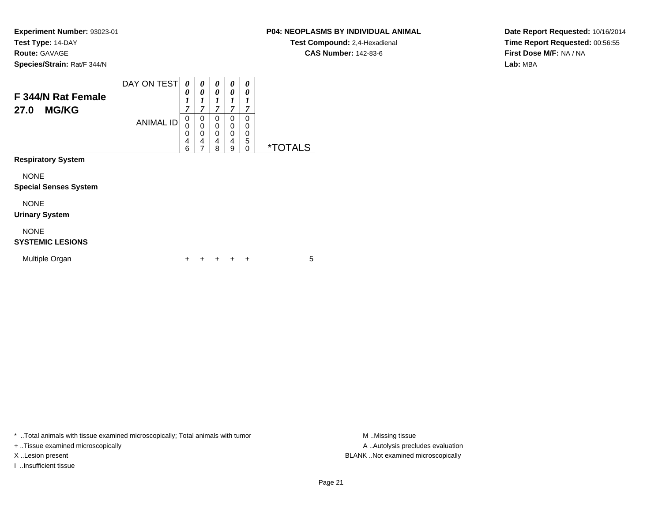#### **P04: NEOPLASMS BY INDIVIDUAL ANIMAL**

**Test Compound:** 2,4-Hexadienal **CAS Number:** 142-83-6

**Date Report Requested:** 10/16/2014**Time Report Requested:** 00:56:55**First Dose M/F:** NA / NA**Lab:** MBA

| F 344/N Rat Female<br><b>MG/KG</b><br>27.0  | DAY ON TEST<br><b>ANIMAL ID</b> | 0<br>0<br>1<br>7<br>0<br>0<br>0<br>4<br>6 | 0<br>0<br>1<br>7<br>0<br>0<br>0<br>4<br>$\overline{7}$ | 0<br>0<br>1<br>7<br>$\Omega$<br>0<br>$\Omega$<br>4<br>8 | 0<br>0<br>1<br>7<br>0<br>0<br>$\Omega$<br>4<br>9 | 0<br>0<br>1<br>7<br>0<br>0<br>$\mathbf 0$<br>5<br>$\Omega$ | <i><b>*TOTALS</b></i> |
|---------------------------------------------|---------------------------------|-------------------------------------------|--------------------------------------------------------|---------------------------------------------------------|--------------------------------------------------|------------------------------------------------------------|-----------------------|
| <b>Respiratory System</b>                   |                                 |                                           |                                                        |                                                         |                                                  |                                                            |                       |
| <b>NONE</b><br><b>Special Senses System</b> |                                 |                                           |                                                        |                                                         |                                                  |                                                            |                       |
| <b>NONE</b><br><b>Urinary System</b>        |                                 |                                           |                                                        |                                                         |                                                  |                                                            |                       |
| <b>NONE</b><br><b>SYSTEMIC LESIONS</b>      |                                 |                                           |                                                        |                                                         |                                                  |                                                            |                       |
| Multiple Organ                              |                                 | +                                         |                                                        |                                                         |                                                  | +                                                          | 5                     |

\* ..Total animals with tissue examined microscopically; Total animals with tumor **M** . Missing tissue M ..Missing tissue

+ ..Tissue examined microscopically

I ..Insufficient tissue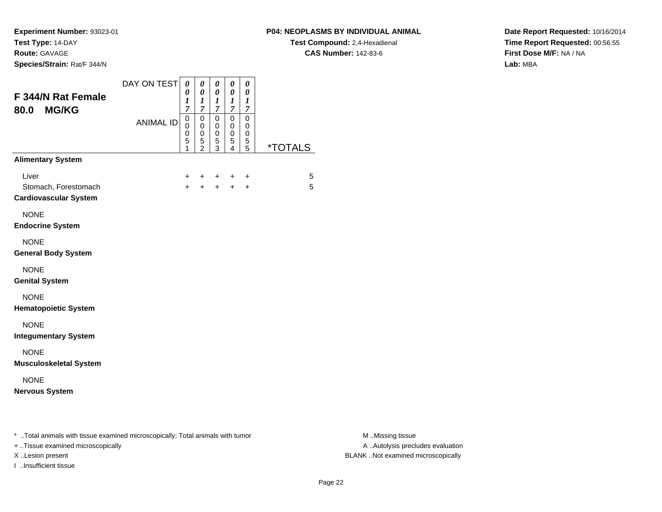**Species/Strain:** Rat/F 344/N

#### **P04: NEOPLASMS BY INDIVIDUAL ANIMAL**

**Test Compound:** 2,4-Hexadienal **CAS Number:** 142-83-6

**Date Report Requested:** 10/16/2014**Time Report Requested:** 00:56:55**First Dose M/F:** NA / NA**Lab:** MBA

| F 344/N Rat Female<br><b>MG/KG</b><br>80.0                                                                                               | DAY ON TEST<br><b>ANIMAL ID</b> | 0<br>0<br>1<br>$\overline{7}$<br>0<br>0<br>0<br>5<br>1 | 0<br>$\pmb{\theta}$<br>$\boldsymbol{l}$<br>7<br>0<br>$\mathbf 0$<br>$\,0\,$<br>5<br>$\overline{2}$ | 0<br>$\pmb{\theta}$<br>$\boldsymbol{l}$<br>$\overline{7}$<br>$\pmb{0}$<br>$\mathbf 0$<br>$\pmb{0}$<br>5<br>3 | 0<br>$\pmb{\theta}$<br>$\boldsymbol{l}$<br>$\boldsymbol{7}$<br>$\mathsf 0$<br>$\mathbf 0$<br>$\pmb{0}$<br>5<br>$\overline{4}$ | 0<br>$\pmb{\theta}$<br>1<br>$\overline{7}$<br>$\pmb{0}$<br>$\mathbf 0$<br>0<br>$\sqrt{5}$<br>5 | <i><b>*TOTALS</b></i> |                                                                                             |
|------------------------------------------------------------------------------------------------------------------------------------------|---------------------------------|--------------------------------------------------------|----------------------------------------------------------------------------------------------------|--------------------------------------------------------------------------------------------------------------|-------------------------------------------------------------------------------------------------------------------------------|------------------------------------------------------------------------------------------------|-----------------------|---------------------------------------------------------------------------------------------|
| <b>Alimentary System</b>                                                                                                                 |                                 |                                                        |                                                                                                    |                                                                                                              |                                                                                                                               |                                                                                                |                       |                                                                                             |
| Liver<br>Stomach, Forestomach<br><b>Cardiovascular System</b>                                                                            |                                 | +<br>$+$                                               |                                                                                                    |                                                                                                              | +<br>$+$                                                                                                                      | +<br>$\ddot{}$                                                                                 | 5<br>5                |                                                                                             |
| <b>NONE</b><br><b>Endocrine System</b>                                                                                                   |                                 |                                                        |                                                                                                    |                                                                                                              |                                                                                                                               |                                                                                                |                       |                                                                                             |
| <b>NONE</b><br><b>General Body System</b>                                                                                                |                                 |                                                        |                                                                                                    |                                                                                                              |                                                                                                                               |                                                                                                |                       |                                                                                             |
| <b>NONE</b><br><b>Genital System</b>                                                                                                     |                                 |                                                        |                                                                                                    |                                                                                                              |                                                                                                                               |                                                                                                |                       |                                                                                             |
| <b>NONE</b><br><b>Hematopoietic System</b>                                                                                               |                                 |                                                        |                                                                                                    |                                                                                                              |                                                                                                                               |                                                                                                |                       |                                                                                             |
| <b>NONE</b><br><b>Integumentary System</b>                                                                                               |                                 |                                                        |                                                                                                    |                                                                                                              |                                                                                                                               |                                                                                                |                       |                                                                                             |
| <b>NONE</b><br><b>Musculoskeletal System</b>                                                                                             |                                 |                                                        |                                                                                                    |                                                                                                              |                                                                                                                               |                                                                                                |                       |                                                                                             |
| <b>NONE</b><br><b>Nervous System</b>                                                                                                     |                                 |                                                        |                                                                                                    |                                                                                                              |                                                                                                                               |                                                                                                |                       |                                                                                             |
| *  Total animals with tissue examined microscopically; Total animals with tumor<br>+ Tissue examined microscopically<br>X Lesion present |                                 |                                                        |                                                                                                    |                                                                                                              |                                                                                                                               |                                                                                                |                       | M Missing tissue<br>A  Autolysis precludes evaluation<br>BLANK Not examined microscopically |

I ..Insufficient tissue

M ..Missing tissue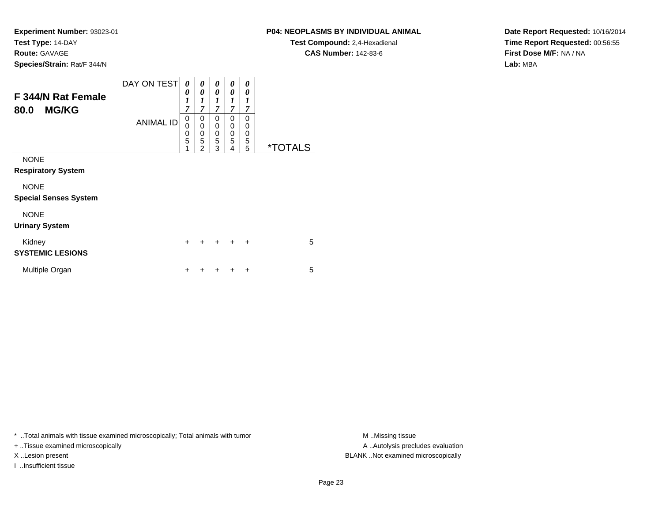**Species/Strain:** Rat/F 344/N

#### **P04: NEOPLASMS BY INDIVIDUAL ANIMAL**

**Test Compound:** 2,4-Hexadienal **CAS Number:** 142-83-6

**Date Report Requested:** 10/16/2014**Time Report Requested:** 00:56:55**First Dose M/F:** NA / NA**Lab:** MBA

| F 344/N Rat Female<br><b>MG/KG</b><br>80.0  | DAY ON TEST<br><b>ANIMAL ID</b> | 0<br>0<br>$\boldsymbol{l}$<br>$\overline{7}$<br>0<br>$\mathbf 0$<br>$\begin{array}{c} 0 \\ 5 \end{array}$<br>1 | 0<br>0<br>1<br>$\overline{7}$<br>0<br>0<br>$\mathbf 0$<br>5<br>$\overline{2}$ | 0<br>0<br>$\boldsymbol{l}$<br>$\overline{7}$<br>0<br>0<br>0<br>5<br>3 | 0<br>0<br>1<br>7<br>0<br>0<br>0<br>5<br>4 | 0<br>0<br>1<br>7<br>$\Omega$<br>0<br>0<br>5<br>5 | <i><b>*TOTALS</b></i> |
|---------------------------------------------|---------------------------------|----------------------------------------------------------------------------------------------------------------|-------------------------------------------------------------------------------|-----------------------------------------------------------------------|-------------------------------------------|--------------------------------------------------|-----------------------|
| <b>NONE</b><br><b>Respiratory System</b>    |                                 |                                                                                                                |                                                                               |                                                                       |                                           |                                                  |                       |
| <b>NONE</b><br><b>Special Senses System</b> |                                 |                                                                                                                |                                                                               |                                                                       |                                           |                                                  |                       |
| <b>NONE</b><br><b>Urinary System</b>        |                                 |                                                                                                                |                                                                               |                                                                       |                                           |                                                  |                       |
| Kidney<br><b>SYSTEMIC LESIONS</b>           |                                 | $\ddot{}$                                                                                                      | ÷                                                                             | ÷                                                                     | $\ddot{}$                                 | $\ddot{}$                                        | 5                     |
| Multiple Organ                              |                                 | ┿                                                                                                              |                                                                               |                                                                       |                                           | ÷                                                | 5                     |

\* ..Total animals with tissue examined microscopically; Total animals with tumor **M** . Missing tissue M ..Missing tissue

+ ..Tissue examined microscopically

I ..Insufficient tissue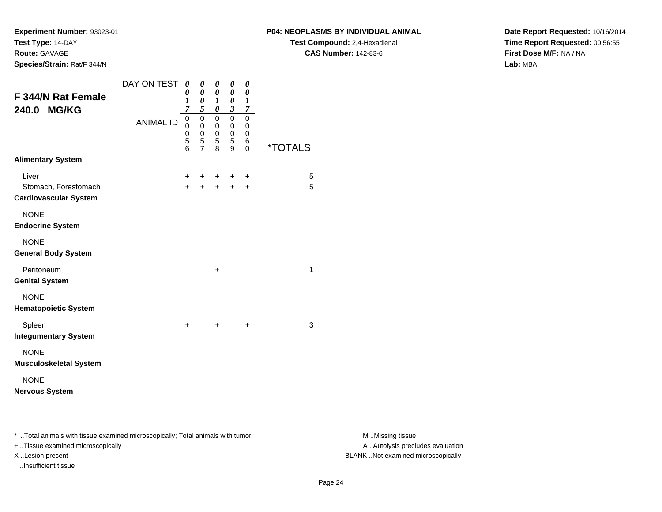**Species/Strain:** Rat/F 344/N

### **P04: NEOPLASMS BY INDIVIDUAL ANIMAL**

**Test Compound:** 2,4-Hexadienal **CAS Number:** 142-83-6

**Date Report Requested:** 10/16/2014**Time Report Requested:** 00:56:55**First Dose M/F:** NA / NA**Lab:** MBA

| F 344/N Rat Female<br>240.0 MG/KG                             | DAY ON TEST      | 0<br>0<br>1<br>7<br>0   | 0<br>0<br>0<br>5<br>$\mathsf 0$ | 0<br>0<br>1<br>0<br>0      | 0<br>0<br>0<br>3<br>$\mathbf 0$         | 0<br>0<br>1<br>$\overline{7}$<br>$\mathbf 0$ |                       |
|---------------------------------------------------------------|------------------|-------------------------|---------------------------------|----------------------------|-----------------------------------------|----------------------------------------------|-----------------------|
|                                                               | <b>ANIMAL ID</b> | 0<br>0<br>$\frac{5}{6}$ | 0<br>0<br>$\frac{5}{7}$         | 0<br>$\mathbf 0$<br>5<br>8 | 0<br>$\mathsf 0$<br>5<br>$\overline{9}$ | 0<br>$\mathbf 0$<br>6<br>0                   | <i><b>*TOTALS</b></i> |
| <b>Alimentary System</b>                                      |                  |                         |                                 |                            |                                         |                                              |                       |
| Liver<br>Stomach, Forestomach<br><b>Cardiovascular System</b> |                  | $+$<br>$+$              | $\pm$<br>$+$                    | $\pm$<br>$\ddot{+}$        | ÷<br>$+$                                | ÷<br>$\ddot{}$                               | 5<br>5                |
| <b>NONE</b><br><b>Endocrine System</b>                        |                  |                         |                                 |                            |                                         |                                              |                       |
| <b>NONE</b><br><b>General Body System</b>                     |                  |                         |                                 |                            |                                         |                                              |                       |
| Peritoneum<br><b>Genital System</b>                           |                  |                         |                                 | +                          |                                         |                                              | $\mathbf{1}$          |
| <b>NONE</b><br><b>Hematopoietic System</b>                    |                  |                         |                                 |                            |                                         |                                              |                       |
| Spleen<br><b>Integumentary System</b>                         |                  | $\ddot{}$               |                                 | $\ddot{}$                  |                                         | $\ddot{}$                                    | 3                     |
| <b>NONE</b><br><b>Musculoskeletal System</b>                  |                  |                         |                                 |                            |                                         |                                              |                       |
| <b>NONE</b><br><b>Nervous System</b>                          |                  |                         |                                 |                            |                                         |                                              |                       |

\* ..Total animals with tissue examined microscopically; Total animals with tumor **M** . Missing tissue M ..Missing tissue

+ ..Tissue examined microscopically

I ..Insufficient tissue